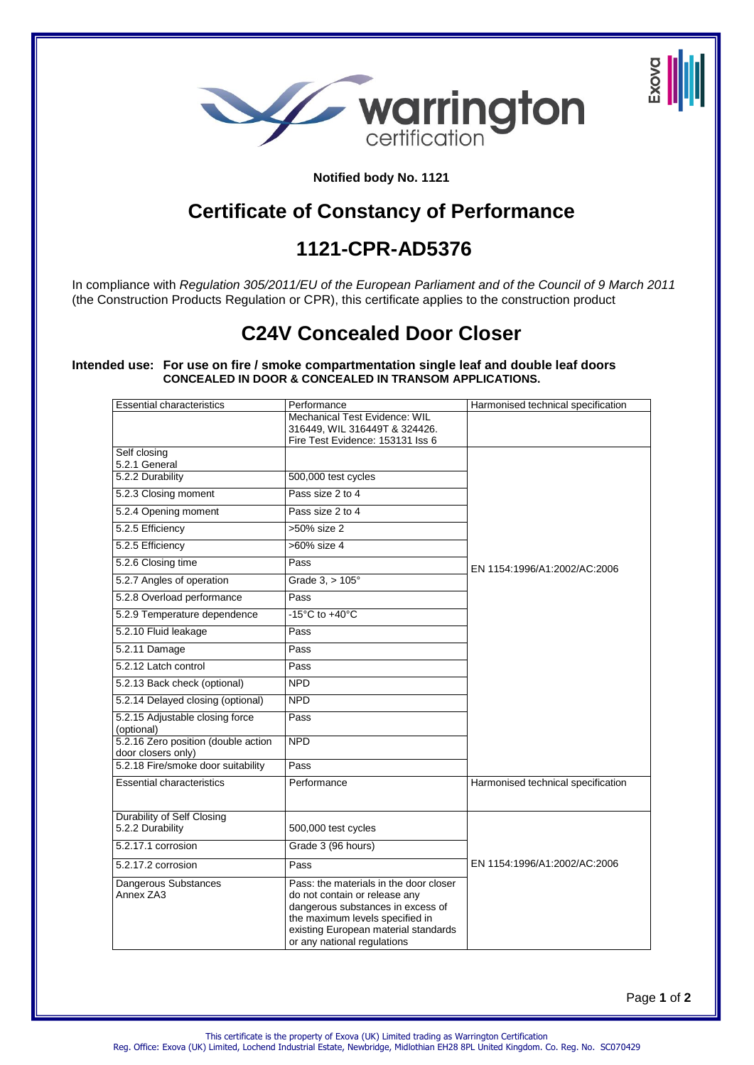

**Notified body No. 1121**

## **Certificate of Constancy of Performance**

## **1121-CPR-AD5376**

In compliance with *Regulation 305/2011/EU of the European Parliament and of the Council of 9 March 2011*  (the Construction Products Regulation or CPR), this certificate applies to the construction product

# **C24V Concealed Door Closer**

**Intended use: For use on fire / smoke compartmentation single leaf and double leaf doors CONCEALED IN DOOR & CONCEALED IN TRANSOM APPLICATIONS.** 

| <b>Essential characteristics</b>                          | Performance                                                                                                                                                                                                            | Harmonised technical specification |
|-----------------------------------------------------------|------------------------------------------------------------------------------------------------------------------------------------------------------------------------------------------------------------------------|------------------------------------|
|                                                           | Mechanical Test Evidence: WIL                                                                                                                                                                                          |                                    |
|                                                           | 316449, WIL 316449T & 324426.                                                                                                                                                                                          |                                    |
| Self closing                                              | Fire Test Evidence: 153131 Iss 6                                                                                                                                                                                       |                                    |
| 5.2.1 General                                             |                                                                                                                                                                                                                        |                                    |
| 5.2.2 Durability                                          | 500,000 test cycles                                                                                                                                                                                                    |                                    |
| 5.2.3 Closing moment                                      | Pass size 2 to 4                                                                                                                                                                                                       |                                    |
| 5.2.4 Opening moment                                      | Pass size 2 to 4                                                                                                                                                                                                       |                                    |
| 5.2.5 Efficiency                                          | >50% size 2                                                                                                                                                                                                            |                                    |
| 5.2.5 Efficiency                                          | >60% size 4                                                                                                                                                                                                            |                                    |
| 5.2.6 Closing time                                        | Pass                                                                                                                                                                                                                   | EN 1154:1996/A1:2002/AC:2006       |
| 5.2.7 Angles of operation                                 | Grade $3, > 105^\circ$                                                                                                                                                                                                 |                                    |
| 5.2.8 Overload performance                                | Pass                                                                                                                                                                                                                   |                                    |
| 5.2.9 Temperature dependence                              | $-15^{\circ}$ C to $+40^{\circ}$ C                                                                                                                                                                                     |                                    |
| 5.2.10 Fluid leakage                                      | Pass                                                                                                                                                                                                                   |                                    |
| 5.2.11 Damage                                             | Pass                                                                                                                                                                                                                   |                                    |
| 5.2.12 Latch control                                      | Pass                                                                                                                                                                                                                   |                                    |
| 5.2.13 Back check (optional)                              | <b>NPD</b>                                                                                                                                                                                                             |                                    |
| 5.2.14 Delayed closing (optional)                         | <b>NPD</b>                                                                                                                                                                                                             |                                    |
| 5.2.15 Adjustable closing force<br>(optional)             | Pass                                                                                                                                                                                                                   |                                    |
| 5.2.16 Zero position (double action<br>door closers only) | <b>NPD</b>                                                                                                                                                                                                             |                                    |
| 5.2.18 Fire/smoke door suitability                        | Pass                                                                                                                                                                                                                   |                                    |
| <b>Essential characteristics</b>                          | Performance                                                                                                                                                                                                            | Harmonised technical specification |
| Durability of Self Closing<br>5.2.2 Durability            | 500,000 test cycles                                                                                                                                                                                                    |                                    |
| 5.2.17.1 corrosion                                        | Grade 3 (96 hours)                                                                                                                                                                                                     |                                    |
| 5.2.17.2 corrosion                                        | Pass                                                                                                                                                                                                                   | EN 1154:1996/A1:2002/AC:2006       |
| <b>Dangerous Substances</b><br>Annex ZA3                  | Pass: the materials in the door closer<br>do not contain or release any<br>dangerous substances in excess of<br>the maximum levels specified in<br>existing European material standards<br>or any national regulations |                                    |